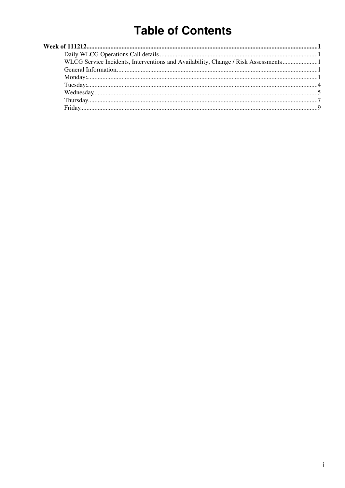# **Table of Contents**

| WLCG Service Incidents, Interventions and Availability, Change / Risk Assessments |  |
|-----------------------------------------------------------------------------------|--|
|                                                                                   |  |
|                                                                                   |  |
|                                                                                   |  |
|                                                                                   |  |
|                                                                                   |  |
|                                                                                   |  |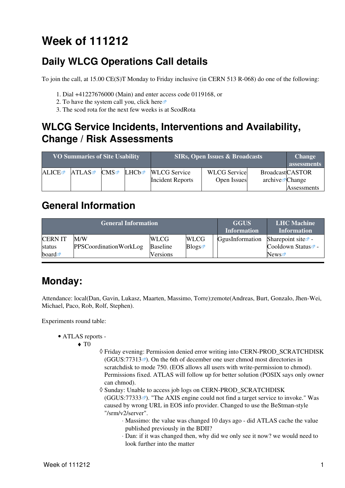# <span id="page-1-0"></span>**Week of 111212**

# <span id="page-1-1"></span>**Daily WLCG Operations Call details**

To join the call, at 15.00 CE(S)T Monday to Friday inclusive (in CERN 513 R-068) do one of the following:

- 1. Dial +41227676000 (Main) and enter access code 0119168, or
- 2. To have the system call you, click [here](https://audioconf.cern.ch/call/0119168) $\Phi$
- 3. The scod rota for the next few weeks is at [ScodRota](https://twiki.cern.ch/twiki/bin/view/LCG/ScodRota)

### <span id="page-1-2"></span>**WLCG Service Incidents, Interventions and Availability, Change / Risk Assessments**

| <b>VO Summaries of Site Usability</b> |       |                    | <b>SIRs, Open Issues &amp; Broadcasts</b> | <b>Change</b><br>assessments |                     |                             |                    |
|---------------------------------------|-------|--------------------|-------------------------------------------|------------------------------|---------------------|-----------------------------|--------------------|
| <b>ALICE</b>                          | ATLAS | $CMS$ $\mathbb{Z}$ | ∐HCh≊                                     | <b>WLCG</b> Service          | <b>WLCG</b> Service | <b>BroadcastCASTOR</b>      |                    |
|                                       |       |                    |                                           | <b>Incident Reports</b>      | Open Issues         | archive $\mathbb{Z}$ Change |                    |
|                                       |       |                    |                                           |                              |                     |                             | <b>Assessments</b> |

### <span id="page-1-3"></span>**General Information**

| <b>General Information</b> |                        |                 |             | <b>GGUS</b><br><b>Information</b> | <b>LHC</b> Machine<br><b>Information</b> |
|----------------------------|------------------------|-----------------|-------------|-----------------------------------|------------------------------------------|
| <b>CERNIT</b>              | M/W                    | <b>WLCG</b>     | <b>WLCG</b> | GgusInformation                   | Sharepoint site $\Phi$ -                 |
| status                     | PPSCoordinationWorkLog | <b>Baseline</b> | Blogs       |                                   | Cooldown Status <sup>®</sup> -           |
| board $\blacksquare$       |                        | Versions        |             |                                   | News                                     |

### <span id="page-1-4"></span>**Monday:**

Attendance: local(Dan, Gavin, Lukasz, Maarten, Massimo, Torre);remote(Andreas, Burt, Gonzalo, Jhen-Wei, Michael, Paco, Rob, Rolf, Stephen).

Experiments round table:

- ATLAS [reports](https://twiki.cern.ch/twiki/bin/view/Atlas/ADCOperationsDailyReports)  •
	- $\blacklozenge$  T<sub>0</sub>
- Friday evening: Permission denied error writing into CERN-PROD\_SCRATCHDISK ◊  $(GGUS:77313\)$  $(GGUS:77313\)$  $(GGUS:77313\)$ . On the 6th of december one user chmod most directories in scratchdisk to mode 750. (EOS allows all users with write-permission to chmod). Permissions fixed. ATLAS will follow up for better solution (POSIX says only owner can chmod).
- $\Diamond$  Sunday: Unable to access job logs on CERN-PROD\_SCRATCHDISK  $(GGUS:77333\)$  $(GGUS:77333\)$  $(GGUS:77333\)$ <sup>2</sup>). "The AXIS engine could not find a target service to invoke." Was caused by wrong URL in EOS info provider. Changed to use the [BeStman](https://twiki.cern.ch/twiki/bin/edit/LCG/BeStman?topicparent=LCG.WLCGDailyMeetingsWeek111212;nowysiwyg=1)-style "/srm/v2/server".
	- Massimo: the value was changed 10 days ago did ATLAS cache the value ⋅ published previously in the BDII?
	- Dan: if it was changed then, why did we only see it now? we would need to ⋅ look further into the matter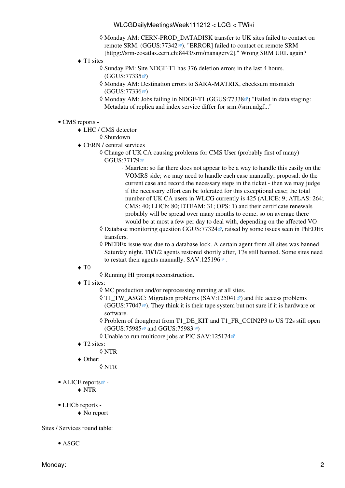- Monday AM: CERN-PROD\_DATADISK transfer to UK sites failed to contact on ◊ remote SRM. ([GGUS:77342](https://ggus.eu/ws/ticket_info.php?ticket=77342)<sup>®</sup>). "ERROR] failed to contact on remote SRM [httpg://srm-eosatlas.cern.ch:8443/srm/managerv2]." Wrong SRM URL again?
- ◆ T1 sites
	- Sunday PM: Site NDGF-T1 has 376 deletion errors in the last 4 hours. ◊  $(GGUS:77335 \n\mathbb{Z})$  $(GGUS:77335 \n\mathbb{Z})$  $(GGUS:77335 \n\mathbb{Z})$
	- Monday AM: Destination errors to SARA-MATRIX, checksum mismatch ◊  $(GGUS:77336)$  $(GGUS:77336)$  $(GGUS:77336)$
	- ◊ Monday AM: Jobs failing in NDGF-T1 [\(GGUS:77338](https://ggus.eu/ws/ticket_info.php?ticket=77338) <sup>a</sup>) "Failed in data staging: Metadata of replica and index service differ for srm://srm.ndgf..."

#### • CMS [reports](https://twiki.cern.ch/twiki/bin/view/CMS/FacOps_WLCGdailyreports) -

- LHC / CMS detector ♦
	- ◊ Shutdown
- CERN / central services ♦
	- Change of UK CA causing problems for CMS User (probably first of many) ◊ [GGUS:77179](https://ggus.eu/ws/ticket_info.php?ticket=77179)<sup></sup>

Maarten: so far there does not appear to be a way to handle this easily on the ⋅ VOMRS side; we may need to handle each case manually; proposal: do the current case and record the necessary steps in the ticket - then we may judge if the necessary effort can be tolerated for this exceptional case; the total number of UK CA users in WLCG currently is 425 (ALICE: 9; ATLAS: 264; CMS: 40; LHCb: 80; DTEAM: 31; OPS: 1) and their certificate renewals probably will be spread over many months to come, so on average there would be at most a few per day to deal with, depending on the affected VO

- ◊ Database monitoring question [GGUS:77324](https://ggus.eu/ws/ticket_info.php?ticket=77324) ₫, raised by some issues seen in [PhEDEx](https://twiki.cern.ch/twiki/bin/view/LCG/PhEDEx) transfers.
- [PhEDEx](https://twiki.cern.ch/twiki/bin/view/LCG/PhEDEx) issue was due to a database lock. A certain agent from all sites was banned ◊ Saturday night. T0/1/2 agents restored shortly after, T3s still banned. Some sites need to restart their agents manually.  $SAV:125196\$  $SAV:125196\$
- $\blacklozenge$  T<sub>0</sub>
- ◊ Running HI prompt reconstruction.
- ◆ T1 sites:
	- ◊ MC production and/or reprocessing running at all sites.
	- ◊ T1\_TW\_ASGC: Migration problems ([SAV:125041](https://savannah.cern.ch/support/?125041) <sup>a</sup>) and file access problems  $(GGUS:77047 \times )$  $(GGUS:77047 \times )$  $(GGUS:77047 \times )$ . They think it is their tape system but not sure if it is hardware or software.
	- ◊ Problem of thoughput from T1\_DE\_KIT and T1\_FR\_CCIN2P3 to US T2s still open ([GGUS:75985](https://ggus.eu/ws/ticket_info.php?ticket=75985) <sup>a</sup>nd [GGUS:75983](https://ggus.eu/ws/ticket_info.php?ticket=75983) <sup>a</sup>)
	- ◊ Unable to run multicore jobs at PIC [SAV:125174](https://savannah.cern.ch/support/?125174)
- ◆ T2 sites:
	- ◊ NTR
- Other: ♦
	- ◊ NTR
- ALICE [reports](http://alien2.cern.ch/index.php?option=com_content&view=article&id=75&Itemid=129)<sup>2</sup>
	- ♦ NTR
- LHCb [reports](https://twiki.cern.ch/twiki/bin/view/LHCb/ProductionOperationsWLCGdailyReports) -
	- ♦ No report

Sites / Services round table:

• ASGC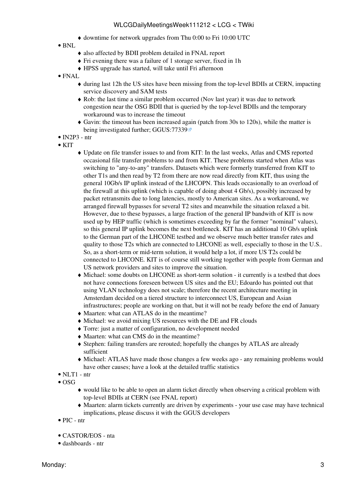- ♦ downtime for network upgrades from Thu 0:00 to Fri 10:00 UTC
- BNL
- ♦ also affected by BDII problem detailed in FNAL report
- ♦ Fri evening there was a failure of 1 storage server, fixed in 1h
- ♦ HPSS upgrade has started, will take until Fri afternoon
- FNAL
	- during last 12h the US sites have been missing from the top-level BDIIs at CERN, impacting ♦ service discovery and SAM tests
	- Rob: the last time a similar problem occurred (Nov last year) it was due to network ♦ congestion near the OSG BDII that is queried by the top-level BDIIs and the temporary workaround was to increase the timeout
	- Gavin: the timeout has been increased again (patch from 30s to 120s), while the matter is ♦ being investigated further; [GGUS:77339](https://ggus.eu/ws/ticket_info.php?ticket=77339)
- $\bullet$  [IN2P3](https://twiki.cern.ch/twiki/bin/view/LCG/IN2P3)  ntr
- $\bullet$  KIT
- Update on file transfer issues to and from KIT: In the last weeks, Atlas and CMS reported ♦ occasional file transfer problems to and from KIT. These problems started when Atlas was switching to "any-to-any" transfers. Datasets which were formerly transferred from KIT to other T1s and then read by T2 from there are now read directly from KIT, thus using the general 10Gb/s IP uplink instead of the LHCOPN. This leads occasionally to an overload of the firewall at this uplink (which is capable of doing about 4 Gb/s), possibly increased by packet retransmits due to long latencies, mostly to American sites. As a workaround, we arranged firewall bypasses for several T2 sites and meanwhile the situation relaxed a bit. However, due to these bypasses, a large fraction of the general IP bandwith of KIT is now used up by HEP traffic (which is sometimes exceeding by far the former "nominal" values), so this general IP uplink becomes the next bottleneck. KIT has an additional 10 Gb/s uplink to the German part of the LHCONE testbed and we observe much better transfer rates and quality to those T2s which are connected to LHCONE as well, especially to those in the U.S.. So, as a short-term or mid-term solution, it would help a lot, if more US T2s could be connected to LHCONE. KIT is of course still working together with people from German and US network providers and sites to improve the situation.
- Michael: some doubts on LHCONE as short-term solution it currently is a testbed that does ♦ not have connections foreseen between US sites and the EU; Edoardo has pointed out that using VLAN technology does not scale; therefore the recent architecture meeting in Amsterdam decided on a tiered structure to interconnect US, European and Asian infrastructures; people are working on that, but it will not be ready before the end of January
- ♦ Maarten: what can ATLAS do in the meantime?
- ♦ Michael: we avoid mixing US resources with the DE and FR clouds
- ♦ Torre: just a matter of configuration, no development needed
- ♦ Maarten: what can CMS do in the meantime?
- Stephen: failing transfers are rerouted; hopefully the changes by ATLAS are already ♦ sufficient
- Michael: ATLAS have made those changes a few weeks ago any remaining problems would ♦ have other causes; have a look at the detailed traffic statistics
- $\bullet$  NLT1 ntr
- $\bullet$  OSG
	- would like to be able to open an alarm ticket directly when observing a critical problem with ♦ top-level BDIIs at CERN (see FNAL report)
	- Maarten: alarm tickets currently are driven by experiments your use case may have technical ♦ implications, please discuss it with the GGUS developers
- PIC ntr
- CASTOR/EOS nta
- dashboards ntr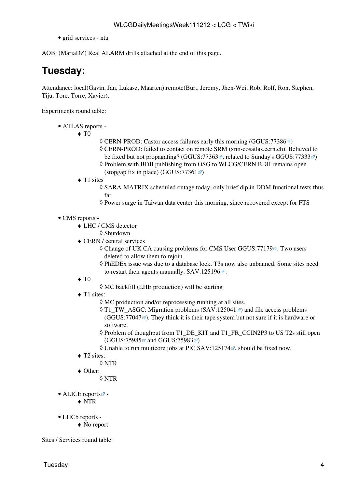• grid services - nta

AOB: ([MariaDZ\)](https://twiki.cern.ch/twiki/bin/edit/LCG/MariaDZ?topicparent=LCG.WLCGDailyMeetingsWeek111212;nowysiwyg=1) Real ALARM drills attached at the end of this page.

# <span id="page-4-0"></span>**Tuesday:**

Attendance: local(Gavin, Jan, Lukasz, Maarten);remote(Burt, Jeremy, Jhen-Wei, Rob, Rolf, Ron, Stephen, Tiju, Tore, Torre, Xavier).

Experiments round table:

- ATLAS [reports](https://twiki.cern.ch/twiki/bin/view/Atlas/ADCOperationsDailyReports)  •
	- $\blacklozenge$  T<sub>0</sub>
- $\Diamond$  CERN-PROD: Castor access failures early this morning [\(GGUS:77386](https://ggus.eu/ws/ticket_info.php?ticket=77386) $\circ$ )
- CERN-PROD: failed to contact on remote SRM (srm-eosatlas.cern.ch). Believed to ◊
- be fixed but not propagating? ([GGUS:77363](https://ggus.eu/ws/ticket_info.php?ticket=77363) $\mathbb{Z}$ , related to Sunday's [GGUS:77333](https://ggus.eu/ws/ticket_info.php?ticket=77333) $\mathbb{Z}$ )
- ◊ Problem with BDII publishing from OSG to WLCG/CERN BDII remains open
- (stopgap fix in place) (GGUS:  $77361 \times$ )
- ◆ T1 sites
	- SARA-MATRIX scheduled outage today, only brief dip in DDM functional tests thus ◊ far
	- $\Diamond$  Power surge in Taiwan data center this morning, since recovered except for FTS

#### • CMS [reports](https://twiki.cern.ch/twiki/bin/view/CMS/FacOps_WLCGdailyreports) -

- LHC / CMS detector ♦
	- ◊ Shutdown
- CERN / central services ♦
	- ◊ Change of UK CA causing problems for CMS User [GGUS:77179](https://ggus.eu/ws/ticket_info.php?ticket=77179) . Two users deleted to allow them to rejoin.
	- [PhEDEx](https://twiki.cern.ch/twiki/bin/view/LCG/PhEDEx) issue was due to a database lock. T3s now also unbanned. Some sites need ◊ to restart their agents manually.  $SAV:125196\$  $SAV:125196\$
- $\blacklozenge$  T<sub>0</sub>
- ◊ MC backfill (LHE production) will be starting
- ◆ T1 sites:
	- $\Diamond$  MC production and/or reprocessing running at all sites.
	- ◊ T1\_TW\_ASGC: Migration problems ([SAV:125041](https://savannah.cern.ch/support/?125041) <sup>a</sup>) and file access problems  $(GGUS:77047\text{ m})$  $(GGUS:77047\text{ m})$  $(GGUS:77047\text{ m})$ . They think it is their tape system but not sure if it is hardware or software.
	- ◊ Problem of thoughput from T1\_DE\_KIT and T1\_FR\_CCIN2P3 to US T2s still open ([GGUS:75985](https://ggus.eu/ws/ticket_info.php?ticket=75985) and [GGUS:75983](https://ggus.eu/ws/ticket_info.php?ticket=75983) <del>a</del>)
	- $\Diamond$  Unable to run multicore jobs at PIC [SAV:125174](https://savannah.cern.ch/support/?125174) $\mathbb{F}$ , should be fixed now.
- ◆ T2 sites:
	- ◊ NTR
- Other: ♦
	- ◊ NTR
- ALICE [reports](http://alien2.cern.ch/index.php?option=com_content&view=article&id=75&Itemid=129)
	- ♦ NTR
- LHCb [reports](https://twiki.cern.ch/twiki/bin/view/LHCb/ProductionOperationsWLCGdailyReports) -
	- ♦ No report

Sites / Services round table: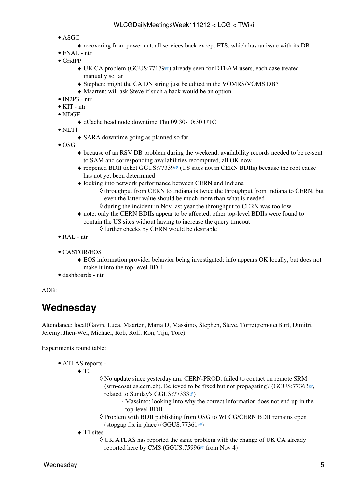- ASGC
	- ♦ recovering from power cut, all services back except FTS, which has an issue with its DB
- FNAL ntr
- [GridPP](https://twiki.cern.ch/twiki/bin/view/LCG/GridPP)
	- $\blacklozenge$  UK CA problem ([GGUS:77179](https://ggus.eu/ws/ticket_info.php?ticket=77179)<sup>®</sup>) already seen for DTEAM users, each case treated manually so far
	- ♦ Stephen: might the CA DN string just be edited in the VOMRS/VOMS DB?
	- ♦ Maarten: will ask Steve if such a hack would be an option
- $\bullet$  [IN2P3](https://twiki.cern.ch/twiki/bin/view/LCG/IN2P3)  ntr
- $\bullet$  KIT ntr
- NDGF
	- ♦ dCache head node downtime Thu 09:30-10:30 UTC

• NLT1

- ♦ SARA downtime going as planned so far
- $\bullet$  OSG
- because of an RSV DB problem during the weekend, availability records needed to be re-sent ♦ to SAM and corresponding availabilities recomputed, all OK now
- reopened BDII ticket GGUS:77339<sup>®</sup> (US sites not in CERN BDIIs) because the root cause has not yet been determined
- looking into network performance between CERN and Indiana ♦
	- ◊ throughput from CERN to Indiana is twice the throughput from Indiana to CERN, but even the latter value should be much more than what is needed
	- $\Diamond$  during the incident in Nov last year the throughput to CERN was too low
- note: only the CERN BDIIs appear to be affected, other top-level BDIIs were found to ♦ contain the US sites without having to increase the query timeout
	- ◊ further checks by CERN would be desirable
- [RAL](https://twiki.cern.ch/twiki/bin/view/LCG/RAL) ntr
- CASTOR/EOS
	- EOS information provider behavior being investigated: info appears OK locally, but does not ♦ make it into the top-level BDII
- dashboards ntr

#### AOB:

## <span id="page-5-0"></span>**Wednesday**

Attendance: local(Gavin, Luca, Maarten, Maria D, Massimo, Stephen, Steve, Torre);remote(Burt, Dimitri, Jeremy, Jhen-Wei, Michael, Rob, Rolf, Ron, Tiju, Tore).

Experiments round table:

ATLAS [reports](https://twiki.cern.ch/twiki/bin/view/Atlas/ADCOperationsDailyReports) - •

 $\blacklozenge$  T<sub>0</sub>

- No update since yesterday am: CERN-PROD: failed to contact on remote SRM ◊ (srm-eosatlas.cern.ch). Believed to be fixed but not propagating? ([GGUS:77363](https://ggus.eu/ws/ticket_info.php?ticket=77363) $\mathbb{Z}$ , related to Sunday's [GGUS:77333](https://ggus.eu/ws/ticket_info.php?ticket=77333) $\blacktriangledown$ )
	- Massimo: looking into why the correct information does not end up in the ⋅ top-level BDII
- ◊ Problem with BDII publishing from OSG to WLCG/CERN BDII remains open (stopgap fix in place) (GGUS:  $77361 \text{ m}$ )
- ◆ T1 sites
	- UK ATLAS has reported the same problem with the change of UK CA already ◊ reported here by CMS [\(GGUS:75996](https://ggus.eu/ws/ticket_info.php?ticket=75996) $\textdegree$  from Nov 4)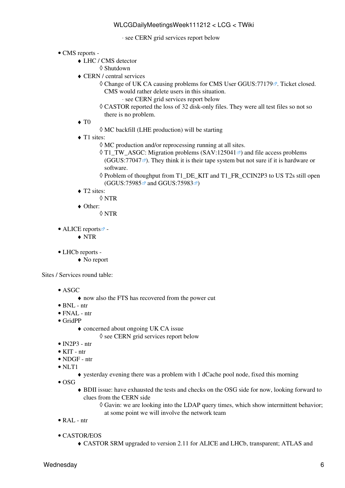#### ⋅ see CERN grid services report below

- CMS [reports](https://twiki.cern.ch/twiki/bin/view/CMS/FacOps_WLCGdailyreports) -
	- LHC / CMS detector ♦
		- ◊ Shutdown
	- CERN / central services ♦
		- ◊ Change of UK CA causing problems for CMS User [GGUS:77179](https://ggus.eu/ws/ticket_info.php?ticket=77179) a. Ticket closed. CMS would rather delete users in this situation.
			- ⋅ see CERN grid services report below
		- CASTOR reported the loss of 32 disk-only files. They were all test files so not so ◊ there is no problem.
	- $\blacklozenge$  T<sub>0</sub>
		- ◊ MC backfill (LHE production) will be starting
	- ◆ T1 sites:
		- ◊ MC production and/or reprocessing running at all sites.
		- ◊ T1\_TW\_ASGC: Migration problems ([SAV:125041](https://savannah.cern.ch/support/?125041) <sup>a</sup>) and file access problems  $(GGUS:77047 \text{ m})$  $(GGUS:77047 \text{ m})$  $(GGUS:77047 \text{ m})$ . They think it is their tape system but not sure if it is hardware or software.
		- ◊ Problem of thoughput from T1\_DE\_KIT and T1\_FR\_CCIN2P3 to US T2s still open ([GGUS:75985](https://ggus.eu/ws/ticket_info.php?ticket=75985) <sup>ø</sup> and [GGUS:75983](https://ggus.eu/ws/ticket_info.php?ticket=75983) <sup>ø</sup>)
	- ◆ T2 sites:
		- ◊ NTR
	- Other: ♦
		- ◊ NTR
- ALICE [reports](http://alien2.cern.ch/index.php?option=com_content&view=article&id=75&Itemid=129)
	- ♦ NTR
- LHCb [reports](https://twiki.cern.ch/twiki/bin/view/LHCb/ProductionOperationsWLCGdailyReports) -
	- ♦ No report

Sites / Services round table:

- ASGC
	- ♦ now also the FTS has recovered from the power cut
- BNL ntr
- FNAL ntr
- [GridPP](https://twiki.cern.ch/twiki/bin/view/LCG/GridPP)
	- concerned about ongoing UK CA issue ♦
		- $\Diamond$  see CERN grid services report below
- $\bullet$  [IN2P3](https://twiki.cern.ch/twiki/bin/view/LCG/IN2P3)  ntr
- KIT ntr
- NDGF ntr
- NLT1
	- ♦ yesterday evening there was a problem with 1 dCache pool node, fixed this morning
- $\bullet$  OSG
	- BDII issue: have exhausted the tests and checks on the OSG side for now, looking forward to ♦ clues from the CERN side
		- Gavin: we are looking into the LDAP query times, which show intermittent behavior; ◊ at some point we will involve the network team
- [RAL](https://twiki.cern.ch/twiki/bin/view/LCG/RAL) ntr
- CASTOR/EOS
	- ♦ CASTOR SRM upgraded to version 2.11 for ALICE and LHCb, transparent; ATLAS and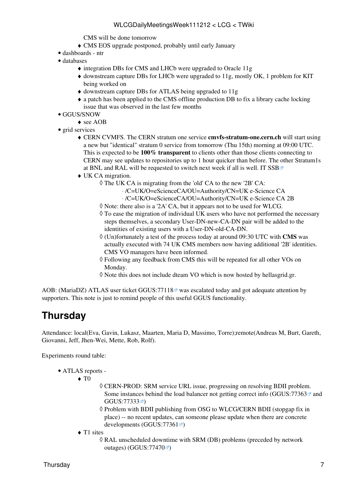CMS will be done tomorrow

- ♦ CMS EOS upgrade postponed, probably until early January
- dashboards ntr
- databases
	- ♦ integration DBs for CMS and LHCb were upgraded to Oracle 11g
	- downstream capture DBs for LHCb were upgraded to 11g, mostly OK, 1 problem for KIT ♦ being worked on
	- ♦ downstream capture DBs for ATLAS being upgraded to 11g
	- a patch has been applied to the CMS offline production DB to fix a library cache locking ♦ issue that was observed in the last few months
- GGUS/SNOW
	- ◆ see AOB
- grid services
	- CERN CVMFS. The CERN stratum one service **cmvfs-stratum-one.cern.ch** will start using ♦ a new but "identical" stratum 0 service from tomorrow (Thu 15th) morning at 09:00 UTC. This is expected to be **100% transparent** to clients other than those clients connecting to CERN may see updates to repositories up to 1 hour quicker than before. The other Stratum1s at BNL and [RAL](https://twiki.cern.ch/twiki/bin/view/LCG/RAL) will be requested to switch next week if all is well. [IT SSB](http://itssb.web.cern.ch/planned-intervention/cvmfs-cern-stratum-1-migration-new-stratum-0/15-12-2011)
	- UK CA migration. ♦
		- The UK CA is migrating from the 'old' CA to the new '2B' CA: ◊
			- ⋅ /C=UK/O=eScienceCA/OU=Authority/CN=UK e-Science CA
			- ⋅ /C=UK/O=eScienceCA/OU=Authority/CN=UK e-Science CA 2B
		- ◊ Note: there also is a '2A' CA, but it appears not to be used for WLCG.
		- To ease the migration of individual UK users who have not performed the necessary ◊ steps themselves, a secondary User-DN-new-CA-DN pair will be added to the identities of existing users with a User-DN-old-CA-DN.
		- (Un)fortunately a test of the process today at around 09:30 UTC with **CMS** was ◊ actually executed with 74 UK CMS members now having additional '2B' identities. CMS VO managers have been informed.
		- Following any feedback from CMS this will be repeated for all other VOs on ◊ Monday.
		- ◊ Note this does not include dteam VO which is now hosted by hellasgrid.gr.

AOB: ([MariaDZ\)](https://twiki.cern.ch/twiki/bin/edit/LCG/MariaDZ?topicparent=LCG.WLCGDailyMeetingsWeek111212;nowysiwyg=1) ATLAS user ticket [GGUS:77118](https://ggus.eu/ws/ticket_info.php?ticket=77118)<sup>®</sup> was escalated today and got adequate attention by supporters. This note is just to remind people of this useful GGUS functionality.

### <span id="page-7-0"></span>**Thursday**

Attendance: local(Eva, Gavin, Lukasz, Maarten, Maria D, Massimo, Torre);remote(Andreas M, Burt, Gareth, Giovanni, Jeff, Jhen-Wei, Mette, Rob, Rolf).

Experiments round table:

- ATLAS [reports](https://twiki.cern.ch/twiki/bin/view/Atlas/ADCOperationsDailyReports)  •
	- $\blacklozenge$  T<sub>0</sub>
- CERN-PROD: SRM service URL issue, progressing on resolving BDII problem. ◊ Some instances behind the load balancer not getting correct info (GGUS:77363 $\textdegree$ ) and [GGUS:77333](https://ggus.eu/ws/ticket_info.php?ticket=77333)<sup>3</sup>
- $\Diamond$  Problem with BDII publishing from OSG to WLCG/CERN BDII (stopgap fix in place) -- no recent updates, can someone please update when there are concrete developments ([GGUS:77361](https://ggus.eu/ws/ticket_info.php?ticket=77361) $\blacktriangledown$ )
- ◆ T1 sites
	- [RAL](https://twiki.cern.ch/twiki/bin/view/LCG/RAL) unscheduled downtime with SRM (DB) problems (preceded by network ◊ outages) ([GGUS:77470](https://ggus.eu/ws/ticket_info.php?ticket=77470) $\degree$ )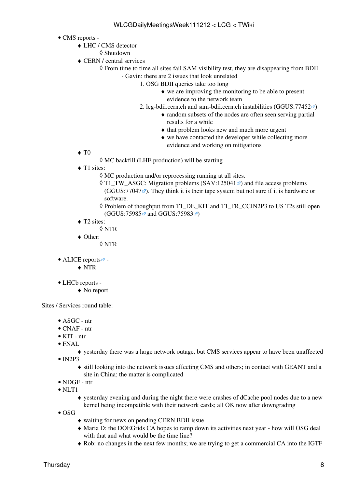- CMS [reports](https://twiki.cern.ch/twiki/bin/view/CMS/FacOps_WLCGdailyreports) -
	- LHC / CMS detector ♦
		- ◊ Shutdown
	- CERN / central services ♦
		- From time to time all sites fail SAM visibility test, they are disappearing from BDII ◊ Gavin: there are 2 issues that look unrelated ⋅
			- 1. OSG BDII queries take too long
				- we are improving the monitoring to be able to present ♦ evidence to the network team
			- 2. lcg-bdii.cern.ch and sam-bdii.cern.ch instabilities ([GGUS:77452](https://ggus.eu/ws/ticket_info.php?ticket=77452)<sup>®</sup>)
				- random subsets of the nodes are often seen serving partial ♦ results for a while
				- ♦ that problem looks new and much more urgent
				- we have contacted the developer while collecting more ♦ evidence and working on mitigations

- $\blacklozenge$  T<sub>0</sub>
- ◊ MC backfill (LHE production) will be starting
- ◆ T1 sites:
	- $\Diamond$  MC production and/or reprocessing running at all sites.
	- ◊ T1\_TW\_ASGC: Migration problems ([SAV:125041](https://savannah.cern.ch/support/?125041) <sup>a</sup>) and file access problems  $(GGUS:77047\text{ m})$  $(GGUS:77047\text{ m})$  $(GGUS:77047\text{ m})$ . They think it is their tape system but not sure if it is hardware or software.
	- ◊ Problem of thoughput from T1\_DE\_KIT and T1\_FR\_CCIN2P3 to US T2s still open ([GGUS:75985](https://ggus.eu/ws/ticket_info.php?ticket=75985) and [GGUS:75983](https://ggus.eu/ws/ticket_info.php?ticket=75983) <sup>a</sup>)
- ◆ T2 sites:
	- ◊ NTR
- Other: ♦
	- ◊ NTR
- ALICE [reports](http://alien2.cern.ch/index.php?option=com_content&view=article&id=75&Itemid=129)
	- ♦ NTR
- LHCb [reports](https://twiki.cern.ch/twiki/bin/view/LHCb/ProductionOperationsWLCGdailyReports) -
	- ♦ No report

Sites / Services round table:

- ASGC ntr
- CNAF ntr
- KIT ntr
- FNAL •
- ♦ yesterday there was a large network outage, but CMS services appear to have been unaffected  $\bullet$  [IN2P3](https://twiki.cern.ch/twiki/bin/view/LCG/IN2P3)
	- still looking into the network issues affecting CMS and others; in contact with GEANT and a ♦ site in China; the matter is complicated
- NDGF ntr
- NLT1
	- yesterday evening and during the night there were crashes of dCache pool nodes due to a new ♦ kernel being incompatible with their network cards; all OK now after downgrading
- $\bullet$  OSG
- ♦ waiting for news on pending CERN BDII issue
- Maria D: the DOEGrids CA hopes to ramp down its activities next year how will OSG deal ♦ with that and what would be the time line?
- ♦ Rob: no changes in the next few months; we are trying to get a commercial CA into the IGTF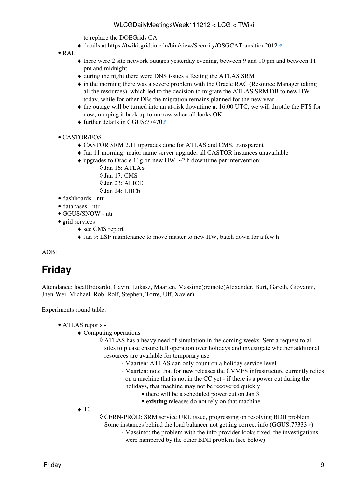to replace the DOEGrids CA

- ♦ details at<https://twiki.grid.iu.edu/bin/view/Security/OSGCATransition2012>
- $\bullet$  [RAL](https://twiki.cern.ch/twiki/bin/view/LCG/RAL)
- there were 2 site network outages yesterday evening, between 9 and 10 pm and between 11 ♦ pm and midnight
- ♦ during the night there were DNS issues affecting the ATLAS SRM
- in the morning there was a severe problem with the Oracle RAC (Resource Manager taking ♦ all the resources), which led to the decision to migrate the ATLAS SRM DB to new HW today, while for other DBs the migration remains planned for the new year
- the outage will be turned into an at-risk downtime at 16:00 UTC, we will throttle the FTS for ♦ now, ramping it back up tomorrow when all looks OK
- $\triangle$  further details in [GGUS:77470](https://ggus.eu/ws/ticket_info.php?ticket=77470) $\degree$

#### CASTOR/EOS •

- ♦ CASTOR SRM 2.11 upgrades done for ATLAS and CMS, transparent
- ♦ Jan 11 morning: major name server upgrade, all CASTOR instances unavailable
- upgrades to Oracle 11g on new HW, ~2 h downtime per intervention: ♦
	- ◊ Jan 16: ATLAS
	- ◊ Jan 17: CMS
	- ◊ Jan 23: ALICE
	- ◊ Jan 24: LHCb
- dashboards ntr
- databases ntr
- GGUS/SNOW ntr
- grid services
	- ◆ see CMS report
	- ♦ Jan 9: [LSF](https://twiki.cern.ch/twiki/bin/view/LCG/LSF) maintenance to move master to new HW, batch down for a few h

AOB:

# <span id="page-9-0"></span>**Friday**

Attendance: local(Edoardo, Gavin, Lukasz, Maarten, Massimo);remote(Alexander, Burt, Gareth, Giovanni, Jhen-Wei, Michael, Rob, Rolf, Stephen, Torre, Ulf, Xavier).

Experiments round table:

- ATLAS [reports](https://twiki.cern.ch/twiki/bin/view/Atlas/ADCOperationsDailyReports)  •
	- Computing operations ♦

ATLAS has a heavy need of simulation in the coming weeks. Sent a request to all ◊ sites to please ensure full operation over holidays and investigate whether additional resources are available for temporary use

- ⋅ Maarten: ATLAS can only count on a holiday service level
- Maarten: note that for **new** releases the CVMFS infrastructure currently relies ⋅ on a machine that is not in the CC yet - if there is a power cut during the
- holidays, that machine may not be recovered quickly
	- there will be a scheduled power cut on Jan 3
	- **existing** releases do not rely on that machine

 $\blacklozenge$  T<sub>0</sub>

CERN-PROD: SRM service URL issue, progressing on resolving BDII problem. ◊

- Some instances behind the load balancer not getting correct info [\(GGUS:77333](https://ggus.eu/ws/ticket_info.php?ticket=77333) $\mathbb{Z}$ )
	- Massimo: the problem with the info provider looks fixed, the investigations ⋅ were hampered by the other BDII problem (see below)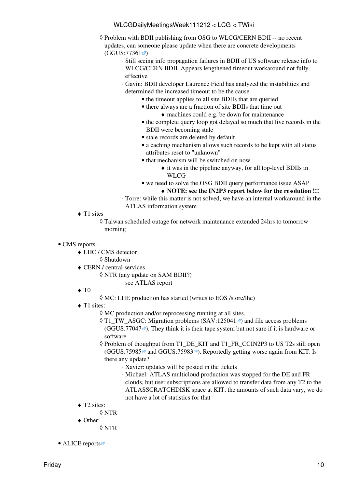- ◊ Problem with BDII publishing from OSG to WLCG/CERN BDII -- no recent updates, can someone please update when there are concrete developments  $(GGUS:77361 \)$  $(GGUS:77361 \)$  $(GGUS:77361 \)$ 
	- Still seeing info propagation failures in BDII of US software release info to ⋅ WLCG/CERN BDII. Appears lengthened timeout workaround not fully effective
	- Gavin: BDII developer Laurence Field has analyzed the instabilities and ⋅ determined the increased timeout to be the cause
		- the timeout applies to all site BDIIs that are queried
		- there always are a fraction of site BDIIs that time out
			- ♦ machines could e.g. be down for maintenance
		- the complete query loop got delayed so much that live records in the BDII were becoming stale
		- stale records are deleted by default
		- a caching mechanism allows such records to be kept with all status attributes reset to "unknown"
		- that mechanism will be switched on now
			- $\bullet$  it was in the pipeline anyway, for all top-level BDIIs in **WLCG**
		- we need to solve the OSG BDII query performance issue ASAP

#### ♦ **NOTE: see the IN2P3 report below for the resolution !!!**

- Torre: while this matter is not solved, we have an internal workaround in the ⋅ ATLAS information system
- ◆ T1 sites

Taiwan scheduled outage for network maintenance extended 24hrs to tomorrow ◊ morning

#### • CMS [reports](https://twiki.cern.ch/twiki/bin/view/CMS/FacOps_WLCGdailyreports) -

- LHC / CMS detector ♦
	- ◊ Shutdown
- CERN / central services ♦
	- $\Diamond$  NTR (any update on SAM BDII?) ⋅ see ATLAS report
- $\blacklozenge$  T<sub>0</sub>
- ◊ MC: LHE production has started (writes to EOS /store/lhe)
- ◆ T1 sites:
	- ◊ MC production and/or reprocessing running at all sites.
	- ◊ T1\_TW\_ASGC: Migration problems ([SAV:125041](https://savannah.cern.ch/support/?125041) <sup>a</sup>) and file access problems  $(GGUS:77047\degree)$  $(GGUS:77047\degree)$  $(GGUS:77047\degree)$ . They think it is their tape system but not sure if it is hardware or software.
	- ◊ Problem of thoughput from T1\_DE\_KIT and T1\_FR\_CCIN2P3 to US T2s still open  $(GGUS:75985 \n\mathcal{B}$  $(GGUS:75985 \n\mathcal{B}$  $(GGUS:75985 \n\mathcal{B}$  and  $GGUS:75983 \n\mathcal{B}$  $GGUS:75983 \n\mathcal{B}$ ). Reportedly getting worse again from KIT. Is there any update?
		- ⋅ Xavier: updates will be posted in the tickets
		- Michael: ATLAS multicloud production was stopped for the DE and FR ⋅ clouds, but user subscriptions are allowed to transfer data from any T2 to the ATLASSCRATCHDISK space at KIT; the amounts of such data vary, we do not have a lot of statistics for that
- ◆ T2 sites:
	- ◊ NTR
- Other: ♦
	- ◊ NTR
- ALICE [reports](http://alien2.cern.ch/index.php?option=com_content&view=article&id=75&Itemid=129) $\blacksquare$  -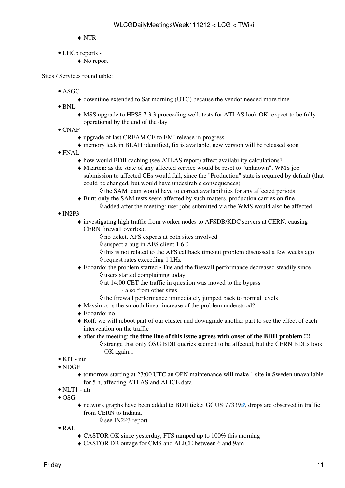- ♦ NTR
- LHCb [reports](https://twiki.cern.ch/twiki/bin/view/LHCb/ProductionOperationsWLCGdailyReports)  •
	- ♦ No report

Sites / Services round table:

- ASGC
	- ♦ downtime extended to Sat morning (UTC) because the vendor needed more time
- BNL
	- MSS upgrade to HPSS 7.3.3 proceeding well, tests for ATLAS look OK, expect to be fully ♦ operational by the end of the day
- $\bullet$  CNAF
	- ♦ upgrade of last [CREAM](https://twiki.cern.ch/twiki/bin/view/LCG/CREAM) CE to EMI release in progress
	- ♦ memory leak in BLAH identified, fix is available, new version will be released soon
- FNAL
	- ♦ how would BDII caching (see ATLAS report) affect availability calculations?
	- Maarten: as the state of any affected service would be reset to "unknown", WMS job ♦ submission to affected CEs would fail, since the "Production" state is required by default (that could be changed, but would have undesirable consequences)

 $\Diamond$  the SAM team would have to correct availabilities for any affected periods

- Burt: only the SAM tests seem affected by such matters, production carries on fine ♦  $\Diamond$  added after the meeting: user jobs submitted via the WMS would also be affected
- $\bullet$  [IN2P3](https://twiki.cern.ch/twiki/bin/view/LCG/IN2P3)
	- investigating high traffic from worker nodes to AFSDB/KDC servers at CERN, causing ♦ CERN firewall overload
		- ◊ no ticket, AFS experts at both sites involved
		- $\Diamond$  suspect a bug in AFS client 1.6.0
		- $\Diamond$  this is not related to the AFS callback timeout problem discussed a few weeks ago ◊ request rates exceeding 1 kHz
	- Edoardo: the problem started ~Tue and the firewall performance decreased steadily since ♦  $\Diamond$  users started complaining today
		- at 14:00 CET the traffic in question was moved to the bypass ◊
			- ⋅ also from other sites
		- ◊ the firewall performance immediately jumped back to normal levels
	- ♦ Massimo: is the smooth linear increase of the problem understood?
	- ♦ Edoardo: no
	- Rolf: we will reboot part of our cluster and downgrade another part to see the effect of each ♦ intervention on the traffic
	- after the meeting: **the time line of this issue agrees with onset of the BDII problem !!!** ♦ ◊ strange that only OSG BDII queries seemed to be affected, but the CERN BDIIs look OK again...
- KIT ntr
- NDGF
	- tomorrow starting at 23:00 UTC an OPN maintenance will make 1 site in Sweden unavailable ♦ for 5 h, affecting ATLAS and ALICE data
- $\bullet$  NLT1 ntr
- $\bullet$  OSG
	- $\bullet$  network graphs have been added to BDII ticket [GGUS:77339](https://ggus.eu/ws/ticket_info.php?ticket=77339) , drops are observed in traffic from CERN to Indiana ◊ see IN2P3 report
- [RAL](https://twiki.cern.ch/twiki/bin/view/LCG/RAL)
	- ♦ CASTOR OK since yesterday, FTS ramped up to 100% this morning
	- ♦ CASTOR DB outage for CMS and ALICE between 6 and 9am